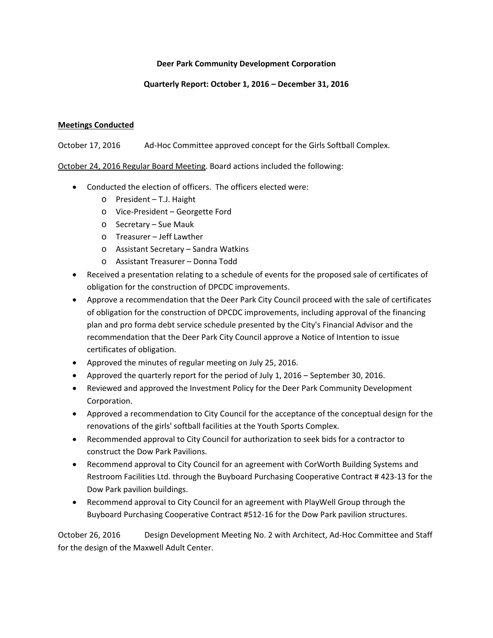## **Deer Park Community Development Corporation**

# **Quarterly Report: October 1, 2016 – December 31, 2016**

# **Meetings Conducted**

October 17, 2016 Ad‐Hoc Committee approved concept for the Girls Softball Complex.

October 24, 2016 Regular Board Meeting. Board actions included the following:

- Conducted the election of officers. The officers elected were:
	- o President T.J. Haight
	- o Vice‐President Georgette Ford
	- o Secretary Sue Mauk
	- o Treasurer Jeff Lawther
	- o Assistant Secretary Sandra Watkins
	- o Assistant Treasurer Donna Todd
- Received a presentation relating to a schedule of events for the proposed sale of certificates of obligation for the construction of DPCDC improvements.
- Approve a recommendation that the Deer Park City Council proceed with the sale of certificates of obligation for the construction of DPCDC improvements, including approval of the financing plan and pro forma debt service schedule presented by the City's Financial Advisor and the recommendation that the Deer Park City Council approve a Notice of Intention to issue certificates of obligation.
- Approved the minutes of regular meeting on July 25, 2016.
- Approved the quarterly report for the period of July 1, 2016 September 30, 2016.
- Reviewed and approved the Investment Policy for the Deer Park Community Development Corporation.
- Approved a recommendation to City Council for the acceptance of the conceptual design for the renovations of the girls' softball facilities at the Youth Sports Complex.
- Recommended approval to City Council for authorization to seek bids for a contractor to construct the Dow Park Pavilions.
- Recommend approval to City Council for an agreement with CorWorth Building Systems and Restroom Facilities Ltd. through the Buyboard Purchasing Cooperative Contract # 423‐13 for the Dow Park pavilion buildings.
- Recommend approval to City Council for an agreement with PlayWell Group through the Buyboard Purchasing Cooperative Contract #512‐16 for the Dow Park pavilion structures.

October 26, 2016 Design Development Meeting No. 2 with Architect, Ad‐Hoc Committee and Staff for the design of the Maxwell Adult Center.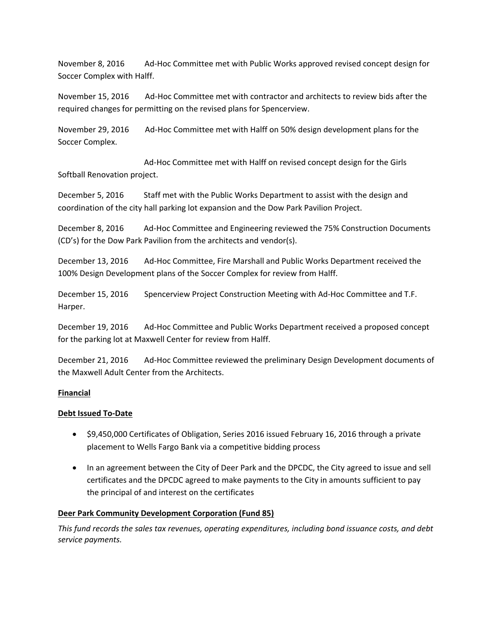November 8, 2016 Ad‐Hoc Committee met with Public Works approved revised concept design for Soccer Complex with Halff.

November 15, 2016 Ad‐Hoc Committee met with contractor and architects to review bids after the required changes for permitting on the revised plans for Spencerview.

November 29, 2016 Ad‐Hoc Committee met with Halff on 50% design development plans for the Soccer Complex.

 Ad‐Hoc Committee met with Halff on revised concept design for the Girls Softball Renovation project.

December 5, 2016 Staff met with the Public Works Department to assist with the design and coordination of the city hall parking lot expansion and the Dow Park Pavilion Project.

December 8, 2016 Ad‐Hoc Committee and Engineering reviewed the 75% Construction Documents (CD's) for the Dow Park Pavilion from the architects and vendor(s).

December 13, 2016 Ad-Hoc Committee, Fire Marshall and Public Works Department received the 100% Design Development plans of the Soccer Complex for review from Halff.

December 15, 2016 Spencerview Project Construction Meeting with Ad‐Hoc Committee and T.F. Harper.

December 19, 2016 Ad-Hoc Committee and Public Works Department received a proposed concept for the parking lot at Maxwell Center for review from Halff.

December 21, 2016 Ad‐Hoc Committee reviewed the preliminary Design Development documents of the Maxwell Adult Center from the Architects.

### **Financial**

### **Debt Issued To‐Date**

- \$9,450,000 Certificates of Obligation, Series 2016 issued February 16, 2016 through a private placement to Wells Fargo Bank via a competitive bidding process
- In an agreement between the City of Deer Park and the DPCDC, the City agreed to issue and sell certificates and the DPCDC agreed to make payments to the City in amounts sufficient to pay the principal of and interest on the certificates

### **Deer Park Community Development Corporation (Fund 85)**

*This fund records the sales tax revenues, operating expenditures, including bond issuance costs, and debt service payments.*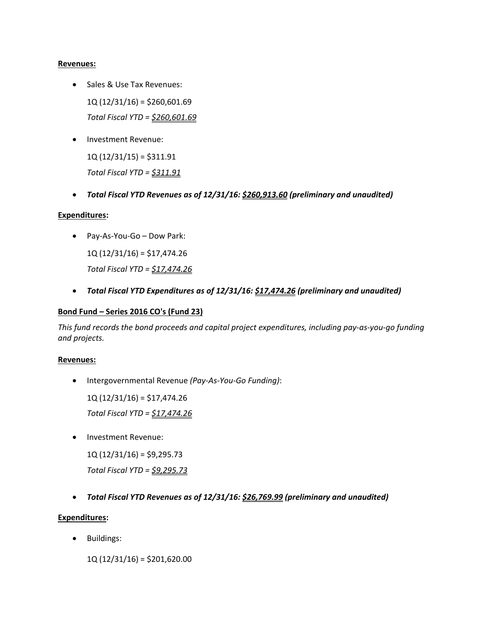#### **Revenues:**

- Sales & Use Tax Revenues: 1Q (12/31/16) = \$260,601.69 *Total Fiscal YTD = \$260,601.69*
- Investment Revenue:

1Q (12/31/15) = \$311.91 *Total Fiscal YTD = \$311.91*

*Total Fiscal YTD Revenues as of 12/31/16: \$260,913.60 (preliminary and unaudited)*

### **Expenditures:**

Pay‐As‐You‐Go – Dow Park:

1Q (12/31/16) = \$17,474.26 *Total Fiscal YTD = \$17,474.26*

*Total Fiscal YTD Expenditures as of 12/31/16: \$17,474.26 (preliminary and unaudited)*

### **Bond Fund – Series 2016 CO's (Fund 23)**

This fund records the bond proceeds and capital project expenditures, including pay-as-you-go funding *and projects.*

### **Revenues:**

Intergovernmental Revenue *(Pay‐As‐You‐Go Funding)*:

1Q (12/31/16) = \$17,474.26

*Total Fiscal YTD = \$17,474.26*

Investment Revenue:

 $1Q(12/31/16) = $9,295.73$ 

*Total Fiscal YTD = \$9,295.73*

*Total Fiscal YTD Revenues as of 12/31/16: \$26,769.99 (preliminary and unaudited)*

### **Expenditures:**

• Buildings:

1Q (12/31/16) = \$201,620.00